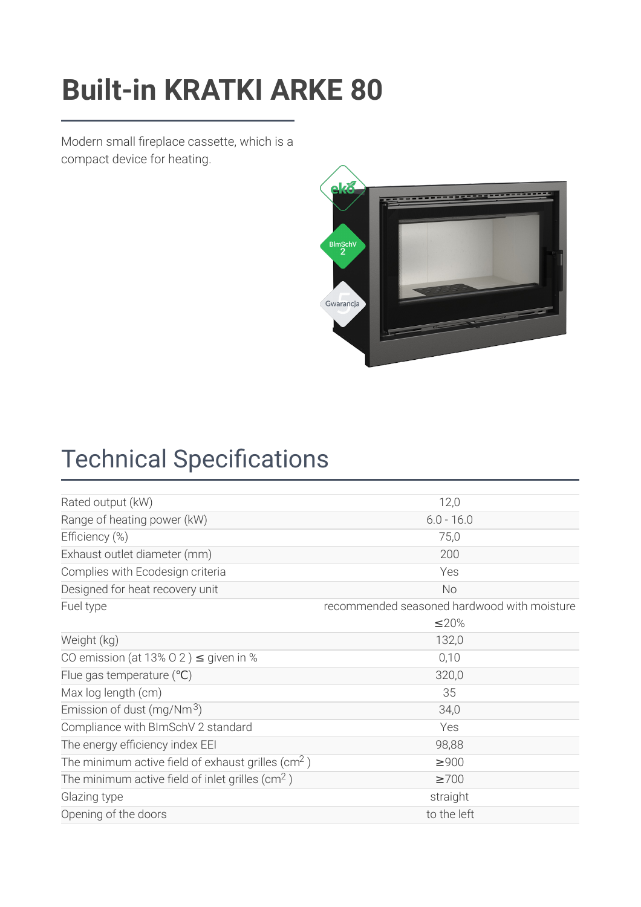### **Fuller Cassette ARKE 80 KBASETA/ARKE [Built-in KRATKI ARKE 80](https://kratki.com/sklep/en/produkt/1547/fireplace-cassette-arke-80)**

Modern small fireplace cassette, which is a compact device for heating.



### **Technical Specifications**

| Rated output (kW)                                              | 12,0                                        |
|----------------------------------------------------------------|---------------------------------------------|
| Range of heating power (kW)                                    | $6.0 - 16.0$                                |
| Efficiency (%)                                                 | 75,0                                        |
| Exhaust outlet diameter (mm)                                   | 200                                         |
| Complies with Ecodesign criteria                               | Yes                                         |
| Designed for heat recovery unit                                | <b>No</b>                                   |
| Fuel type                                                      | recommended seasoned hardwood with moisture |
|                                                                | ≤20%                                        |
| Weight (kg)                                                    | 132,0                                       |
| CO emission (at 13% O 2) $\leq$ given in %                     | 0,10                                        |
| Flue gas temperature $(°C)$                                    | 320,0                                       |
| Max log length (cm)                                            | 35                                          |
| Emission of dust (mg/Nm $3$ )                                  | 34,0                                        |
| Compliance with BImSchV 2 standard                             | Yes                                         |
| The energy efficiency index EEI                                | 98,88                                       |
| The minimum active field of exhaust grilles (cm <sup>2</sup> ) | $\geq 900$                                  |
| The minimum active field of inlet grilles ( $\text{cm}^2$ )    | $\geq 700$                                  |
| Glazing type                                                   | straight                                    |
| Opening of the doors                                           | to the left                                 |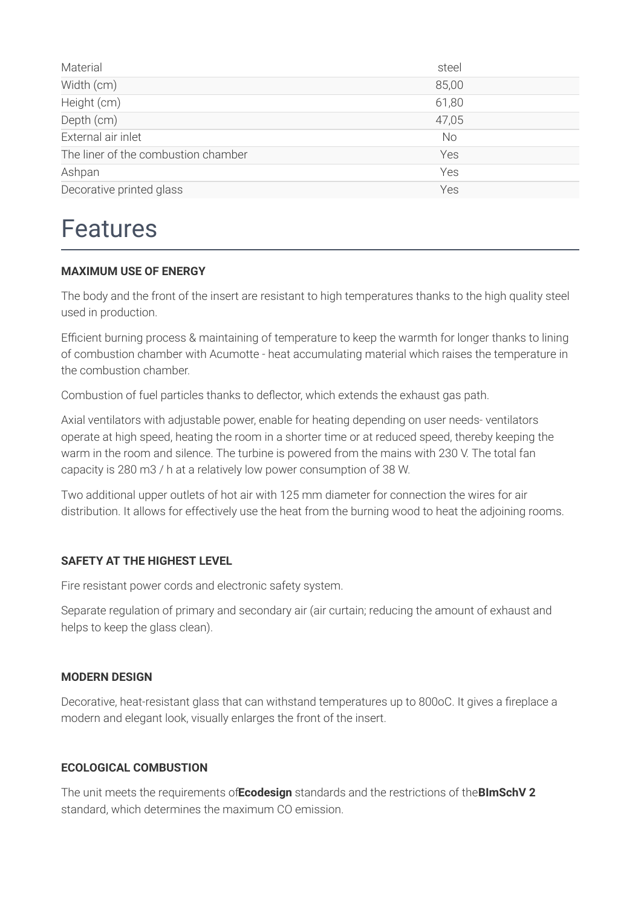| Material                            | steel     |
|-------------------------------------|-----------|
| Width (cm)                          | 85,00     |
| Height (cm)                         | 61,80     |
| Depth (cm)                          | 47,05     |
| External air inlet                  | <b>No</b> |
| The liner of the combustion chamber | Yes       |
| Ashpan                              | Yes       |
| Decorative printed glass            | Yes       |

### Features

#### **MAXIMUM USE OF ENERGY**

The body and the front of the insert are resistant to high temperatures thanks to the high quality steel used in production.

Efficient burning process & maintaining of temperature to keep the warmth for longer thanks to lining of combustion chamber with Acumotte - heat accumulating material which raises the temperature in the combustion chamber.

Combustion of fuel particles thanks to deflector, which extends the exhaust gas path.

Axial ventilators with adjustable power, enable for heating depending on user needs- ventilators operate at high speed, heating the room in a shorter time or at reduced speed, thereby keeping the warm in the room and silence. The turbine is powered from the mains with 230 V. The total fan capacity is 280 m3 / h at a relatively low power consumption of 38 W.

Two additional upper outlets of hot air with 125 mm diameter for connection the wires for air distribution. It allows for effectively use the heat from the burning wood to heat the adjoining rooms.

#### **SAFETY AT THE HIGHEST LEVEL**

Fire resistant power cords and electronic safety system.

Separate regulation of primary and secondary air (air curtain; reducing the amount of exhaust and helps to keep the glass clean).

#### **MODERN DESIGN**

Decorative, heat-resistant glass that can withstand temperatures up to 800oC. It gives a fireplace a modern and elegant look, visually enlarges the front of the insert.

#### **ECOLOGICAL COMBUSTION**

The unit meets the requirements of**Ecodesign** standards and the restrictions of the**BImSchV 2** standard, which determines the maximum CO emission.